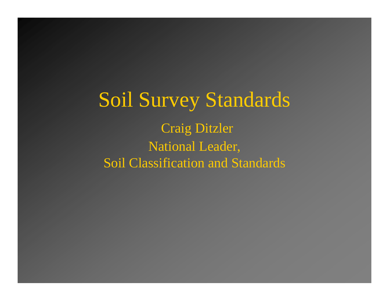Soil Survey Standards Craig Ditzler National Leader, Soil Classification and Standards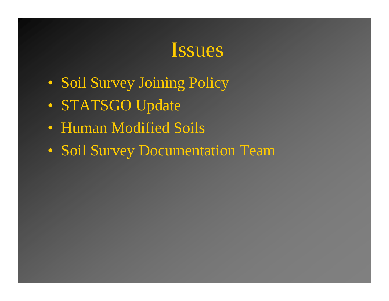#### Issues

- Soil Survey Joining Policy
- STATSGO Update
- Human Modified Soils
- Soil Survey Documentation Team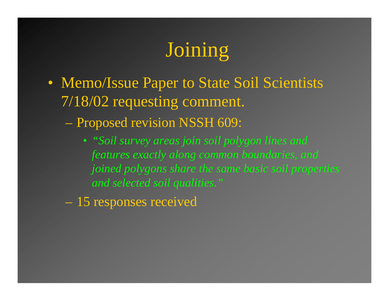# Joining

- Memo/Issue Paper to State Soil Scientists 7/18/02 requesting comment.
	- Proposed revision NSSH 609:
		- *"Soil survey areas join soil polygon lines and features exactly along common boundaries, and joined polygons share the same basic soil properties and selected soil qualities."*
	- 15 responses received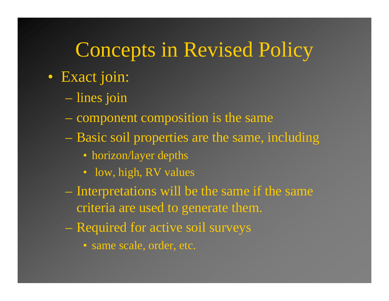### Concepts in Revised Policy

- Exact join:
	- lines join
	- component composition is the same
	- Basic soil properties are the same, including
		- horizon/layer depths
		- low, high, RV values
	- Interpretations will be the same if the same criteria are used to generate them.
	- Required for active soil surveys
		- same scale, order, etc.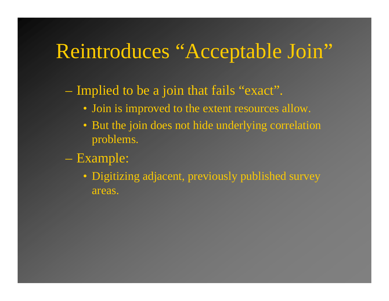### Reintroduces "Acceptable Join"

– Implied to be a join that fails "exact".

- Join is improved to the extent resources allow.
- But the join does not hide underlying correlation problems.
- Example:
	- Digitizing adjacent, previously published survey areas.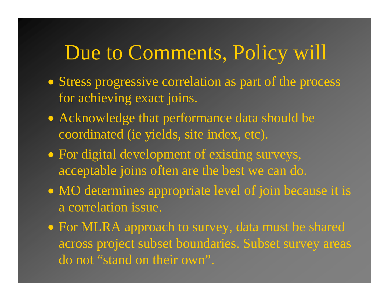### Due to Comments, Policy will

- Stress progressive correlation as part of the process for achieving exact joins.
- Acknowledge that performance data should be coordinated (ie yields, site index, etc).
- For digital development of existing surveys, acceptable joins often are the best we can do.
- MO determines appropriate level of join because it is a correlation issue.
- For MLRA approach to survey, data must be shared across project subset boundaries. Subset survey areas do not "stand on their own".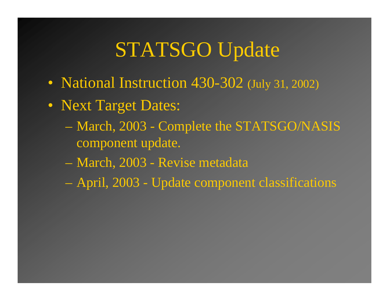## STATSGO Update

- National Instruction 430-302 (July 31, 2002)
- Next Target Dates:
	- March, 2003 Complete the STATSGO/NASIS component update.
	- March, 2003 Revise metadata
	- April, 2003 Update component classifications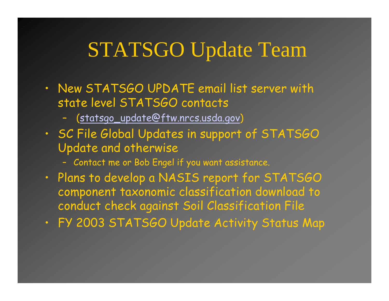## STATSGO Update Team

- New STATSGO UPDATE email list server with state level STATSGO contacts
	- ([statsgo\\_update@ftw.nrcs.usda.gov](mailto:statsgo_update@ftw.nrcs.usda.gov) )
- SC File Global Updates in support of STATSGO Update and otherwise
	- Contact me or Bob Engel if you want assistance.
- Plans to develop a NASIS report for STATSGO component taxonomic classification download to conduct check against Soil Classification File
- FY 2003 STATSGO Update Activity Status Map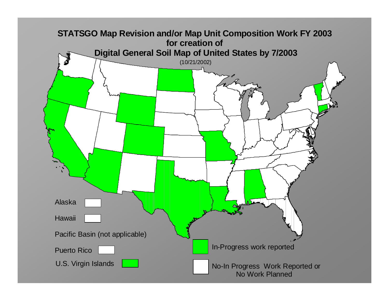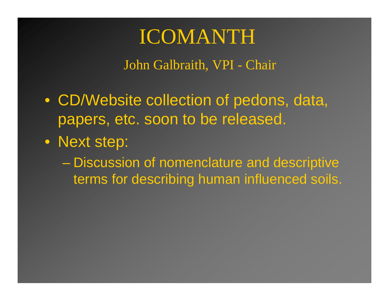#### ICOMANTH

John Galbraith, VPI - Chair

- CD/Website collection of pedons, data, papers, etc. soon to be released.
- Next step:

– Discussion of nomenclature and descriptive terms for describing human influenced soils.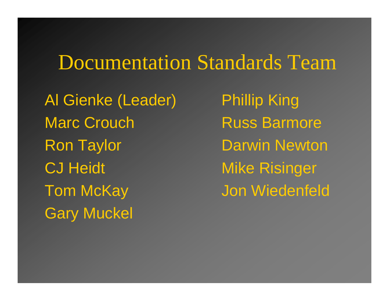#### Documentation Standards Team

Al Gienke (Leader) Phillip King Marc Crouch Russ Barmore Ron Taylor **Darwin Newton** CJ Heidt Mike Risinger Tom McKay Jon Wiedenfeld Gary Muckel